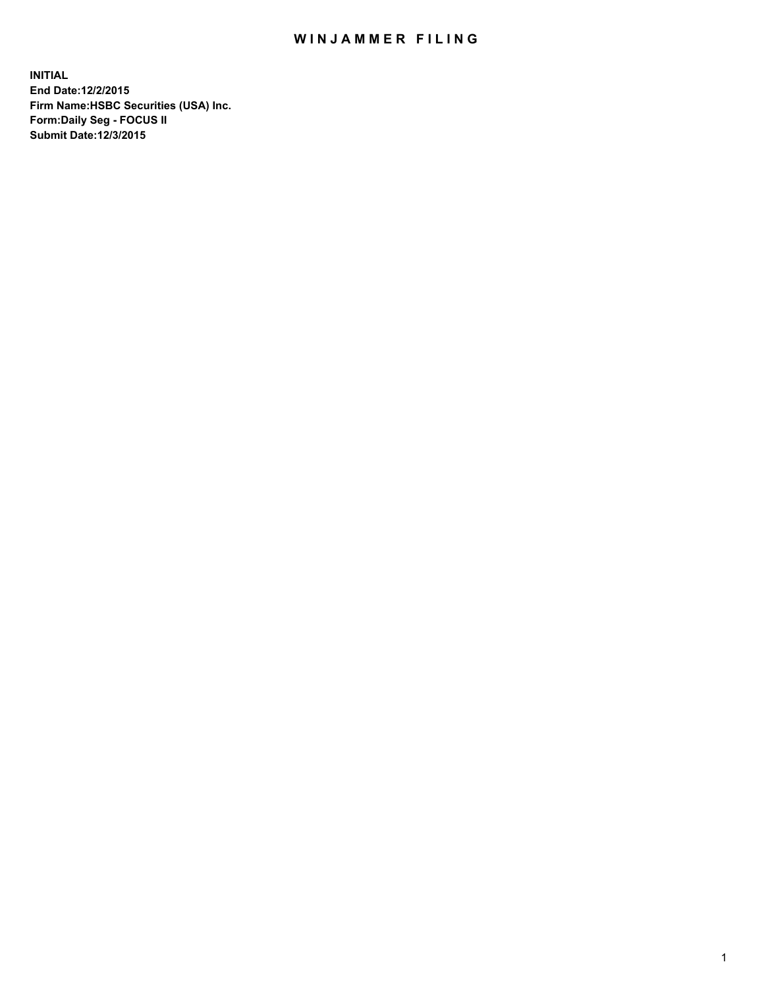## WIN JAMMER FILING

**INITIAL End Date:12/2/2015 Firm Name:HSBC Securities (USA) Inc. Form:Daily Seg - FOCUS II Submit Date:12/3/2015**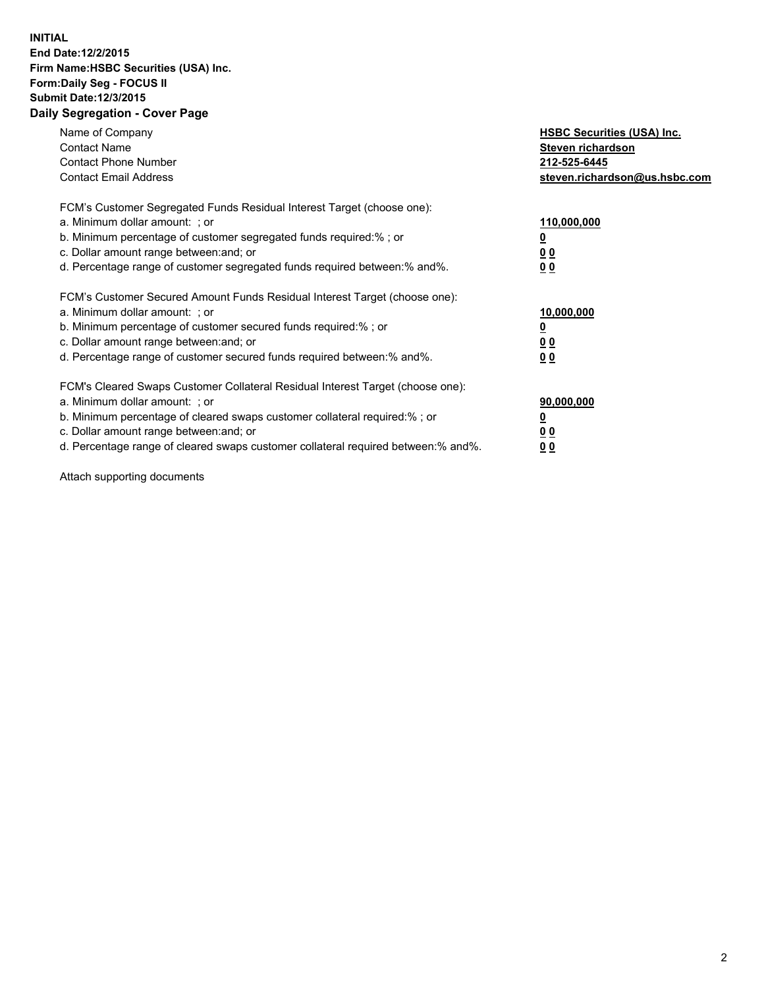## **INITIAL End Date:12/2/2015 Firm Name:HSBC Securities (USA) Inc. Form:Daily Seg - FOCUS II Submit Date:12/3/2015 Daily Segregation - Cover Page**

| Name of Company<br><b>Contact Name</b><br><b>Contact Phone Number</b><br><b>Contact Email Address</b>                                                                                                                                                                                                                         | <b>HSBC Securities (USA) Inc.</b><br>Steven richardson<br>212-525-6445<br>steven.richardson@us.hsbc.com |
|-------------------------------------------------------------------------------------------------------------------------------------------------------------------------------------------------------------------------------------------------------------------------------------------------------------------------------|---------------------------------------------------------------------------------------------------------|
| FCM's Customer Segregated Funds Residual Interest Target (choose one):<br>a. Minimum dollar amount: ; or<br>b. Minimum percentage of customer segregated funds required:%; or<br>c. Dollar amount range between: and; or<br>d. Percentage range of customer segregated funds required between:% and%.                         | 110,000,000<br><u>0</u><br>0 <sub>0</sub><br>0 <sub>0</sub>                                             |
| FCM's Customer Secured Amount Funds Residual Interest Target (choose one):<br>a. Minimum dollar amount: ; or<br>b. Minimum percentage of customer secured funds required:%; or<br>c. Dollar amount range between: and; or<br>d. Percentage range of customer secured funds required between:% and%.                           | 10,000,000<br><u>0</u><br>0 <sub>0</sub><br>0 <sub>0</sub>                                              |
| FCM's Cleared Swaps Customer Collateral Residual Interest Target (choose one):<br>a. Minimum dollar amount: ; or<br>b. Minimum percentage of cleared swaps customer collateral required:%; or<br>c. Dollar amount range between: and; or<br>d. Percentage range of cleared swaps customer collateral required between:% and%. | 90,000,000<br><u>0</u><br>0 <sub>0</sub><br>0 <sub>0</sub>                                              |

Attach supporting documents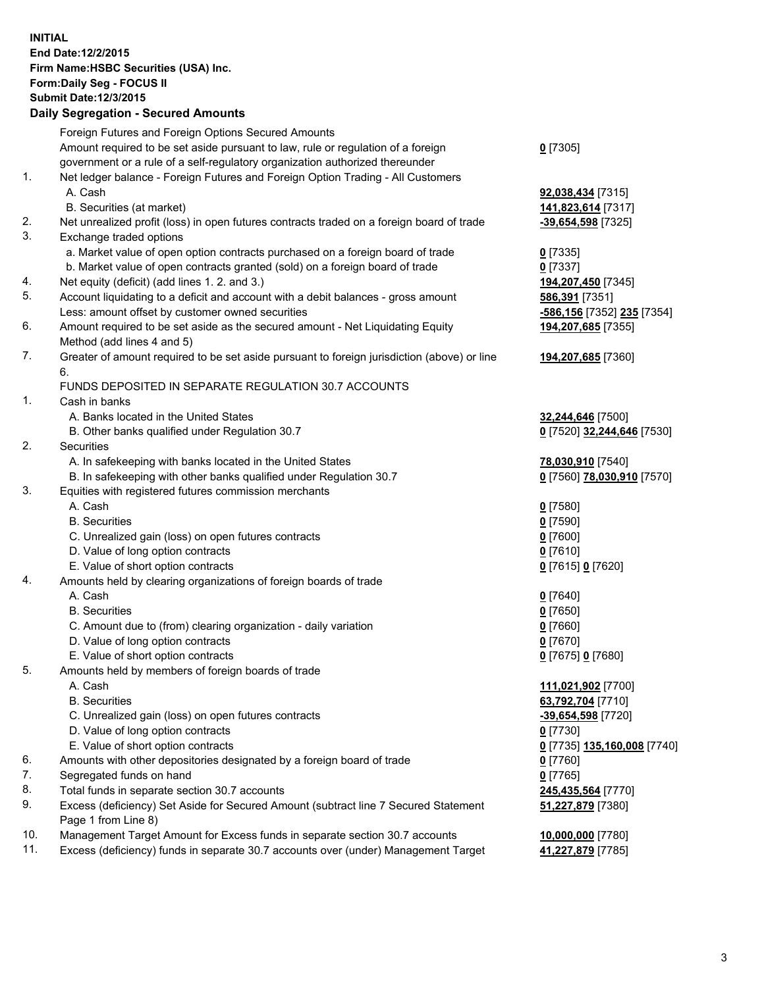**INITIAL End Date:12/2/2015 Firm Name:HSBC Securities (USA) Inc. Form:Daily Seg - FOCUS II Submit Date:12/3/2015 Daily Segregation - Secured Amounts**

## Foreign Futures and Foreign Options Secured Amounts Amount required to be set aside pursuant to law, rule or regulation of a foreign government or a rule of a self-regulatory organization authorized thereunder **0** [7305] 1. Net ledger balance - Foreign Futures and Foreign Option Trading - All Customers A. Cash **92,038,434** [7315] B. Securities (at market) **141,823,614** [7317] 2. Net unrealized profit (loss) in open futures contracts traded on a foreign board of trade **-39,654,598** [7325] 3. Exchange traded options a. Market value of open option contracts purchased on a foreign board of trade **0** [7335] b. Market value of open contracts granted (sold) on a foreign board of trade **0** [7337] 4. Net equity (deficit) (add lines 1. 2. and 3.) **194,207,450** [7345] 5. Account liquidating to a deficit and account with a debit balances - gross amount **586,391** [7351] Less: amount offset by customer owned securities **-586,156** [7352] **235** [7354] 6. Amount required to be set aside as the secured amount - Net Liquidating Equity Method (add lines 4 and 5) **194,207,685** [7355] 7. Greater of amount required to be set aside pursuant to foreign jurisdiction (above) or line 6. **194,207,685** [7360] FUNDS DEPOSITED IN SEPARATE REGULATION 30.7 ACCOUNTS 1. Cash in banks A. Banks located in the United States **32,244,646** [7500] B. Other banks qualified under Regulation 30.7 **0** [7520] **32,244,646** [7530] 2. Securities A. In safekeeping with banks located in the United States **78,030,910** [7540] B. In safekeeping with other banks qualified under Regulation 30.7 **0** [7560] **78,030,910** [7570] 3. Equities with registered futures commission merchants A. Cash **0** [7580] B. Securities **0** [7590] C. Unrealized gain (loss) on open futures contracts **0** [7600] D. Value of long option contracts **0** [7610] E. Value of short option contracts **0** [7615] **0** [7620] 4. Amounts held by clearing organizations of foreign boards of trade A. Cash **0** [7640] B. Securities **0** [7650] C. Amount due to (from) clearing organization - daily variation **0** [7660] D. Value of long option contracts **0** [7670] E. Value of short option contracts **0** [7675] **0** [7680] 5. Amounts held by members of foreign boards of trade A. Cash **111,021,902** [7700] B. Securities **63,792,704** [7710] C. Unrealized gain (loss) on open futures contracts **-39,654,598** [7720] D. Value of long option contracts **0** [7730] E. Value of short option contracts **0** [7735] **135,160,008** [7740] 6. Amounts with other depositories designated by a foreign board of trade **0** [7760] 7. Segregated funds on hand **0** [7765] 8. Total funds in separate section 30.7 accounts **245,435,564** [7770] 9. Excess (deficiency) Set Aside for Secured Amount (subtract line 7 Secured Statement Page 1 from Line 8) **51,227,879** [7380] 10. Management Target Amount for Excess funds in separate section 30.7 accounts **10,000,000** [7780] 11. Excess (deficiency) funds in separate 30.7 accounts over (under) Management Target **41,227,879** [7785]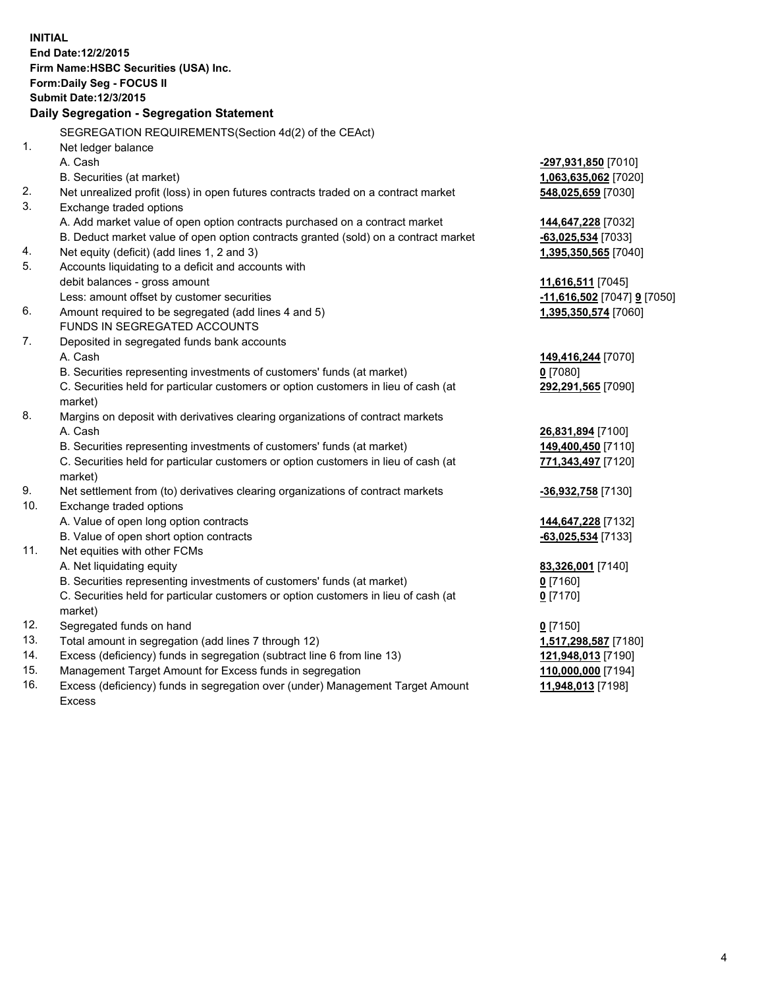|     | <b>INITIAL</b><br>End Date: 12/2/2015<br>Firm Name: HSBC Securities (USA) Inc.<br>Form: Daily Seg - FOCUS II<br><b>Submit Date: 12/3/2015</b><br>Daily Segregation - Segregation Statement |                             |
|-----|--------------------------------------------------------------------------------------------------------------------------------------------------------------------------------------------|-----------------------------|
|     | SEGREGATION REQUIREMENTS(Section 4d(2) of the CEAct)                                                                                                                                       |                             |
| 1.  | Net ledger balance                                                                                                                                                                         |                             |
|     | A. Cash                                                                                                                                                                                    | -297,931,850 [7010]         |
|     | B. Securities (at market)                                                                                                                                                                  | 1,063,635,062 [7020]        |
| 2.  | Net unrealized profit (loss) in open futures contracts traded on a contract market                                                                                                         | 548,025,659 [7030]          |
| 3.  | Exchange traded options                                                                                                                                                                    |                             |
|     | A. Add market value of open option contracts purchased on a contract market                                                                                                                | 144,647,228 [7032]          |
|     | B. Deduct market value of open option contracts granted (sold) on a contract market                                                                                                        | $-63,025,534$ [7033]        |
| 4.  | Net equity (deficit) (add lines 1, 2 and 3)                                                                                                                                                | 1,395,350,565 [7040]        |
| 5.  | Accounts liquidating to a deficit and accounts with                                                                                                                                        |                             |
|     | debit balances - gross amount                                                                                                                                                              | 11,616,511 [7045]           |
|     | Less: amount offset by customer securities                                                                                                                                                 | -11,616,502 [7047] 9 [7050] |
| 6.  | Amount required to be segregated (add lines 4 and 5)                                                                                                                                       | 1,395,350,574 [7060]        |
|     | FUNDS IN SEGREGATED ACCOUNTS                                                                                                                                                               |                             |
| 7.  | Deposited in segregated funds bank accounts                                                                                                                                                |                             |
|     | A. Cash                                                                                                                                                                                    | 149,416,244 [7070]          |
|     | B. Securities representing investments of customers' funds (at market)                                                                                                                     | $0$ [7080]                  |
|     | C. Securities held for particular customers or option customers in lieu of cash (at<br>market)                                                                                             | 292,291,565 [7090]          |
| 8.  | Margins on deposit with derivatives clearing organizations of contract markets                                                                                                             |                             |
|     | A. Cash                                                                                                                                                                                    | 26,831,894 [7100]           |
|     | B. Securities representing investments of customers' funds (at market)                                                                                                                     | 149,400,450 [7110]          |
|     | C. Securities held for particular customers or option customers in lieu of cash (at<br>market)                                                                                             | 771,343,497 [7120]          |
| 9.  | Net settlement from (to) derivatives clearing organizations of contract markets                                                                                                            | -36,932,758 [7130]          |
| 10. | Exchange traded options                                                                                                                                                                    |                             |
|     | A. Value of open long option contracts                                                                                                                                                     | 144,647,228 [7132]          |
|     | B. Value of open short option contracts                                                                                                                                                    | $-63,025,534$ [7133]        |
| 11. | Net equities with other FCMs                                                                                                                                                               |                             |
|     | A. Net liquidating equity                                                                                                                                                                  | 83,326,001 [7140]           |
|     | B. Securities representing investments of customers' funds (at market)                                                                                                                     | $0$ [7160]                  |
|     | C. Securities held for particular customers or option customers in lieu of cash (at<br>market)                                                                                             | $0$ [7170]                  |
| 12. | Segregated funds on hand                                                                                                                                                                   | $0$ [7150]                  |
| 13. | Total amount in segregation (add lines 7 through 12)                                                                                                                                       | 1,517,298,587 [7180]        |
| 14. | Excess (deficiency) funds in segregation (subtract line 6 from line 13)                                                                                                                    | 121,948,013 [7190]          |
| 15. | Management Target Amount for Excess funds in segregation                                                                                                                                   | 110,000,000 [7194]          |
| 16. | Excess (deficiency) funds in segregation over (under) Management Target Amount                                                                                                             | 11,948,013 [7198]           |
|     | Excess                                                                                                                                                                                     |                             |